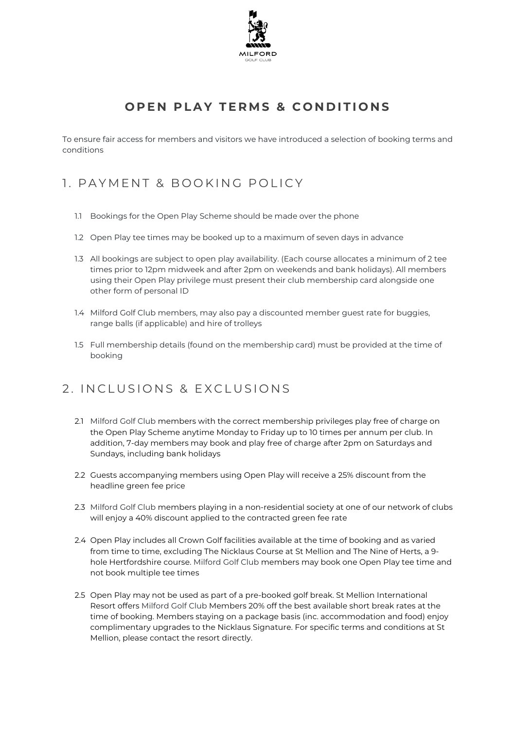

## **OPEN PLAY TERMS & CONDITIONS**

To ensure fair access for members and visitors we have introduced a selection of booking terms and conditions

## 1. PAYMENT & BOOKING POLICY

- 1.1 Bookings for the Open Play Scheme should be made over the phone
- 1.2 Open Play tee times may be booked up to a maximum of seven days in advance
- 1.3 All bookings are subject to open play availability. (Each course allocates a minimum of 2 tee times prior to 12pm midweek and after 2pm on weekends and bank holidays). All members using their Open Play privilege must present their club membership card alongside one other form of personal ID
- 1.4 Milford Golf Club members, may also pay a discounted member guest rate for buggies, range balls (if applicable) and hire of trolleys
- 1.5 Full membership details (found on the membership card) must be provided at the time of booking

## 2. INCLUSIONS & EXCLUSIONS

- 2.1 Milford Golf Club members with the correct membership privileges play free of charge on the Open Play Scheme anytime Monday to Friday up to 10 times per annum per club. In addition, 7-day members may book and play free of charge after 2pm on Saturdays and Sundays, including bank holidays
- 2.2 Guests accompanying members using Open Play will receive a 25% discount from the headline green fee price
- 2.3 Milford Golf Club members playing in a non-residential society at one of our network of clubs will enjoy a 40% discount applied to the contracted green fee rate
- 2.4 Open Play includes all Crown Golf facilities available at the time of booking and as varied from time to time, excluding The Nicklaus Course at St Mellion and The Nine of Herts, a 9 hole Hertfordshire course. Milford Golf Club members may book one Open Play tee time and not book multiple tee times
- 2.5 Open Play may not be used as part of a pre-booked golf break. St Mellion International Resort offers Milford Golf Club Members 20% off the best available short break rates at the time of booking. Members staying on a package basis (inc. accommodation and food) enjoy complimentary upgrades to the Nicklaus Signature. For specific terms and conditions at St Mellion, please contact the resort directly.